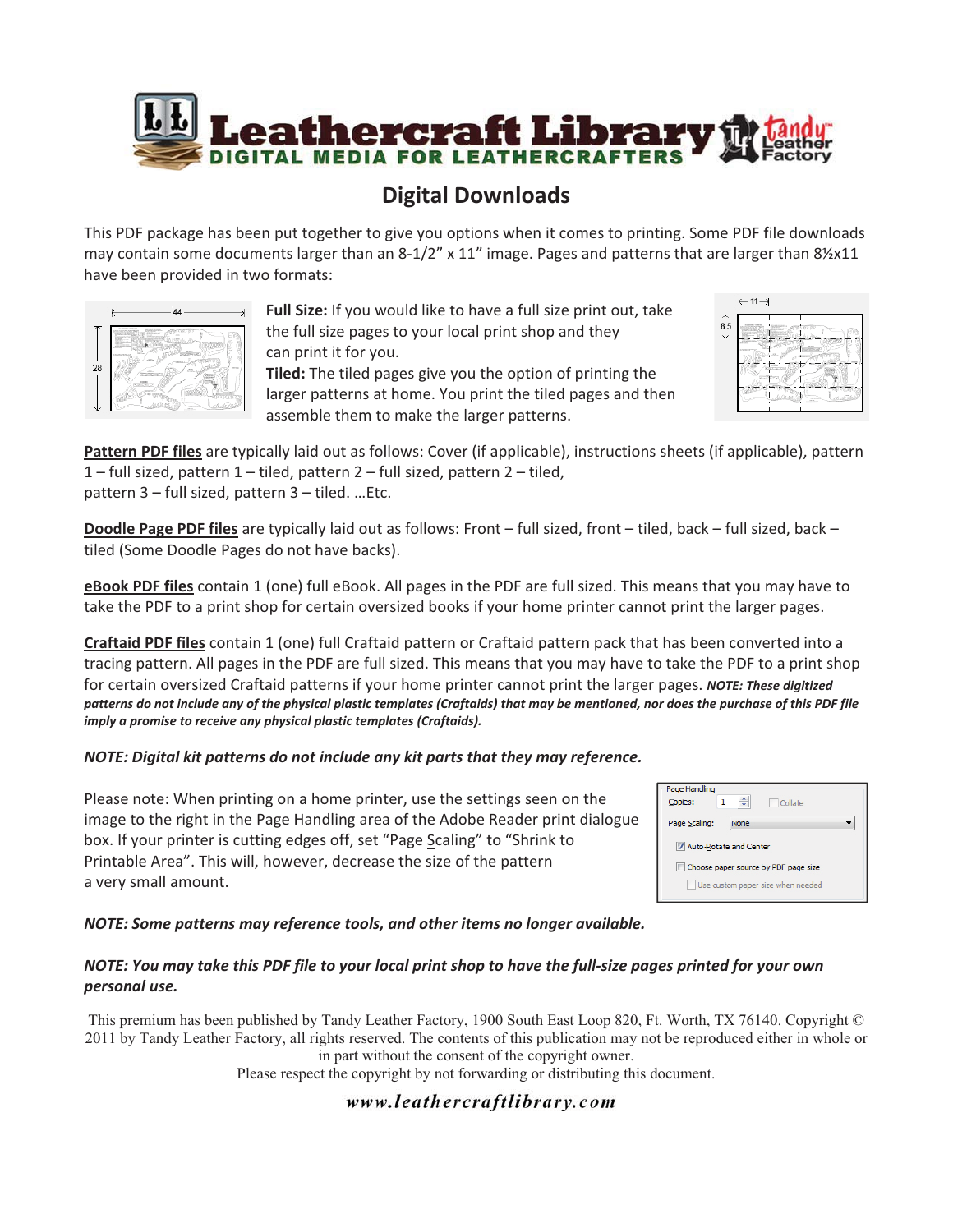

## **Digital Downloads**

This PDF package has been put together to give you options when it comes to printing. Some PDF file downloads may contain some documents larger than an 8-1/2" x 11" image. Pages and patterns that are larger than 81%x11 have been provided in two formats:



Full Size: If you would like to have a full size print out, take the full size pages to your local print shop and they can print it for you. Tiled: The tiled pages give you the option of printing the larger patterns at home. You print the tiled pages and then assemble them to make the larger patterns.



Pattern PDF files are typically laid out as follows: Cover (if applicable), instructions sheets (if applicable), pattern 1 - full sized, pattern 1 - tiled, pattern 2 - full sized, pattern 2 - tiled, pattern 3 - full sized, pattern 3 - tiled. ... Etc.

**Doodle Page PDF files** are typically laid out as follows: Front – full sized, front – tiled, back – full sized, back – tiled (Some Doodle Pages do not have backs).

eBook PDF files contain 1 (one) full eBook. All pages in the PDF are full sized. This means that you may have to take the PDF to a print shop for certain oversized books if your home printer cannot print the larger pages.

Craftaid PDF files contain 1 (one) full Craftaid pattern or Craftaid pattern pack that has been converted into a tracing pattern. All pages in the PDF are full sized. This means that you may have to take the PDF to a print shop for certain oversized Craftaid patterns if your home printer cannot print the larger pages. NOTE: These digitized patterns do not include any of the physical plastic templates (Craftaids) that may be mentioned, nor does the purchase of this PDF file *imply-a-promise-to-receive-any-physical-plastic-templates-(Craftaids).-*

#### *MOTE: Digital kit patterns do not include any kit parts that they may reference.*

Please note: When printing on a home printer, use the settings seen on the image to the right in the Page Handling area of the Adobe Reader print dialogue box. If your printer is cutting edges off, set "Page Scaling" to "Shrink to Printable Area". This will, however, decrease the size of the pattern a very small amount.

| Page Handling<br>Copies:             | Collate |
|--------------------------------------|---------|
| Page Scaling:                        | None    |
| V Auto-Rotate and Center             |         |
| Choose paper source by PDF page size |         |
| Use custom paper size when needed    |         |

*MOTE: Some patterns may reference tools, and other items no longer available.* 

#### NOTE: You may take this PDF file to your local print shop to have the full-size pages printed for your own *personal-use.-*

This premium has been published by Tandy Leather Factory, 1900 South East Loop 820, Ft. Worth, TX 76140. Copyright © 2011 by Tandy Leather Factory, all rights reserved. The contents of this publication may not be reproduced either in whole or in part without the consent of the copyright owner.

Please respect the copyright by not forwarding or distributing this document.

### www.leathercraftlibrary.com